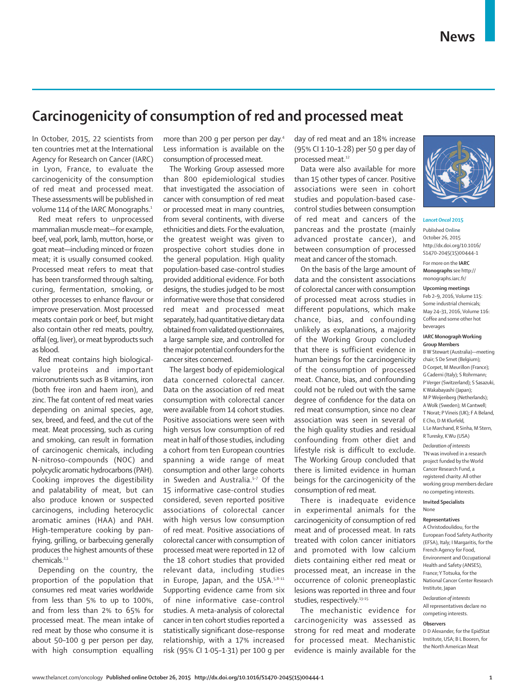# **Carcinogenicity of consumption of red and processed meat**

In October, 2015, 22 scientists from ten countries met at the International Agency for Research on Cancer (IARC) in Lyon, France, to evaluate the carcinogenicity of the consumption of red meat and processed meat. These assessments will be published in volume 114 of the IARC Monographs.<sup>1</sup>

Red meat refers to unprocessed mammalian muscle meat—for example, beef, veal, pork, lamb, mutton, horse, or goat meat—including minced or frozen meat; it is usually consumed cooked. Processed meat refers to meat that has been transformed through salting, curing, fermentation, smoking, or other processes to enhance flavour or improve preservation. Most processed meats contain pork or beef, but might also contain other red meats, poultry, offal (eg, liver), or meat byproducts such as blood.

Red meat contains high biologicalvalue proteins and important micronutrients such as B vitamins, iron (both free iron and haem iron), and zinc. The fat content of red meat varies depending on animal species, age, sex, breed, and feed, and the cut of the meat. Meat processing, such as curing and smoking, can result in formation of carcinogenic chemicals, including N-nitroso-compounds (NOC) and polycyclic aromatic hydrocarbons (PAH). Cooking improves the digestibility and palatability of meat, but can also produce known or suspected carcinogens, including heterocyclic aromatic amines (HAA) and PAH. High-temperature cooking by panfrying, grilling, or barbecuing generally produces the highest amounts of these chemicals.<sup>2,3</sup>

Depending on the country, the proportion of the population that consumes red meat varies worldwide from less than 5% to up to 100%, and from less than 2% to 65% for processed meat. The mean intake of red meat by those who consume it is about 50–100 g per person per day, with high consumption equalling

more than 200 g per person per day.4 Less information is available on the consumption of processed meat.

The Working Group assessed more than 800 epidemiological studies that investigated the association of cancer with consumption of red meat or processed meat in many countries, from several continents, with diverse ethnicities and diets. For the evaluation, the greatest weight was given to prospective cohort studies done in the general population. High quality population-based case-control studies provided additional evidence. For both designs, the studies judged to be most informative were those that considered red meat and processed meat separately, had quantitative dietary data obtained from validated questionnaires, a large sample size, and controlled for the major potential confounders for the cancer sites concerned.

The largest body of epidemiological data concerned colorectal cancer. Data on the association of red meat consumption with colorectal cancer were available from 14 cohort studies. Positive associations were seen with high versus low consumption of red meat in half of those studies, including a cohort from ten European countries spanning a wide range of meat consumption and other large cohorts in Sweden and Australia.<sup>5-7</sup> Of the 15 informative case-control studies considered, seven reported positive associations of colorectal cancer with high versus low consumption of red meat. Positive associations of colorectal cancer with consumption of processed meat were reported in 12 of the 18 cohort studies that provided relevant data, including studies in Europe, Japan, and the USA.<sup>5,8-11</sup> Supporting evidence came from six of nine informative case-control studies. A meta-analysis of colorectal cancer in ten cohort studies reported a statistically significant dose–response relationship, with a 17% increased risk (95% CI 1·05–1·31) per 100 g per

day of red meat and an 18% increase (95% CI 1·10–1·28) per 50 g per day of processed meat.12

Data were also available for more than 15 other types of cancer. Positive associations were seen in cohort studies and population-based casecontrol studies between consumption of red meat and cancers of the pancreas and the prostate (mainly advanced prostate cancer), and between consumption of processed meat and cancer of the stomach.

On the basis of the large amount of data and the consistent associations of colorectal cancer with consumption of processed meat across studies in different populations, which make chance, bias, and confounding unlikely as explanations, a majority of the Working Group concluded that there is sufficient evidence in human beings for the carcinogenicity of the consumption of processed meat. Chance, bias, and confounding could not be ruled out with the same degree of confidence for the data on red meat consumption, since no clear association was seen in several of the high quality studies and residual confounding from other diet and lifestyle risk is difficult to exclude. The Working Group concluded that there is limited evidence in human beings for the carcinogenicity of the consumption of red meat*.*

There is inadequate evidence in experimental animals for the carcinogenicity of consumption of red meat and of processed meat. In rats treated with colon cancer initiators and promoted with low calcium diets containing either red meat or processed meat, an increase in the occurrence of colonic preneoplastic lesions was reported in three and four studies, respectively.<sup>13-15</sup>

The mechanistic evidence for carcinogenicity was assessed as strong for red meat and moderate for processed meat. Mechanistic evidence is mainly available for the



### *Lancet Oncol* **2015**

Published **Online** October 26, 2015 http://dx.doi.org/10.1016/ S1470-2045(15)00444-1 For more on the **IARC Monographs** see http:// monographs.iarc.fr/

## **Upcoming meetings**

Feb 2–9, 2016, Volume 115: Some industrial chemicals; May 24–31, 2016, Volume 116: Coffee and some other hot beverages

# **IARC Monograph Working Group Members**

B W Stewart (Australia)—meeting chair; S De Smet (Belgium); D Corpet, M Meurillon (France); G Caderni (Italy); S Rohrmann; P Verger (Switzerland); S Sasazuki, K Wakabayashi (Japan); M P Weijenberg (Netherlands); A Wolk (Sweden); M Cantwell; T Norat; P Vineis (UK); F A Beland, E Cho, D M Klurfeld, L Le Marchand, R Sinha, M Stern,

R Turesky, K Wu (USA)

*Declaration of interests* TN was involved in a research project funded by the World Cancer Research Fund, a registered charity. All other working group members declare no competing interests.

#### **Invited Specialists** None

# **Representatives**

A Christodoulidou, for the European Food Safety Authority (EFSA), Italy; I Margaritis, for the French Agency for Food, Environment and Occupational Health and Safety (ANSES), France; Y Totsuka, for the National Cancer Center Research Institute, Japan

*Declaration of interests* All representatives declare no competing interests.

# **Observers**

D.D. Alexander, for the EpidStat Institute, USA; B L Booren, for the North American Meat